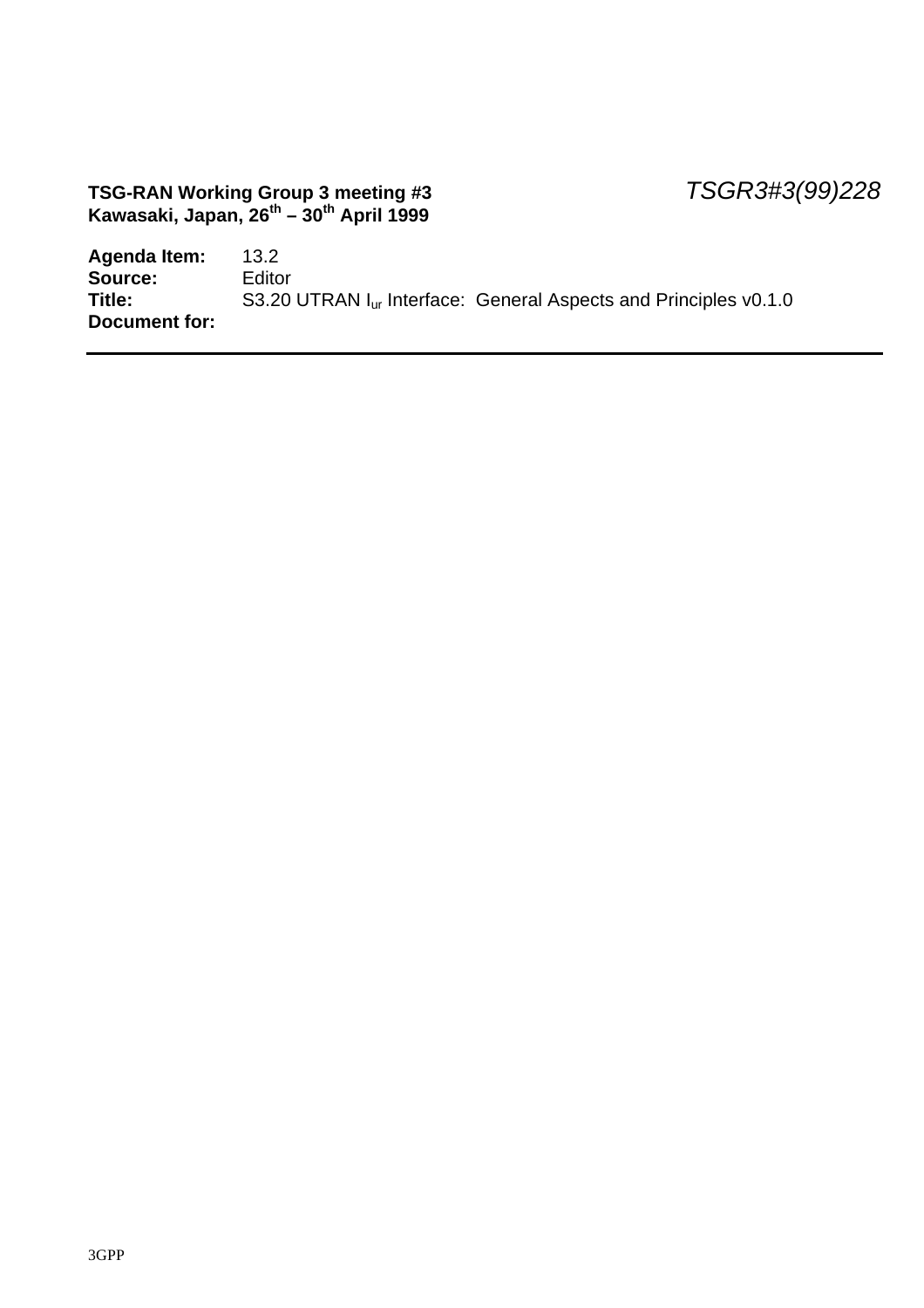#### **TSG-RAN Working Group 3 meeting #3** *TSGR3#3(99)228* **Kawasaki, Japan, 26th – 30th April 1999**

| Agenda Item:  | 13.2                                                                         |
|---------------|------------------------------------------------------------------------------|
| Source:       | Editor                                                                       |
| Title:        | S3.20 UTRAN I <sub>ur</sub> Interface: General Aspects and Principles v0.1.0 |
| Document for: |                                                                              |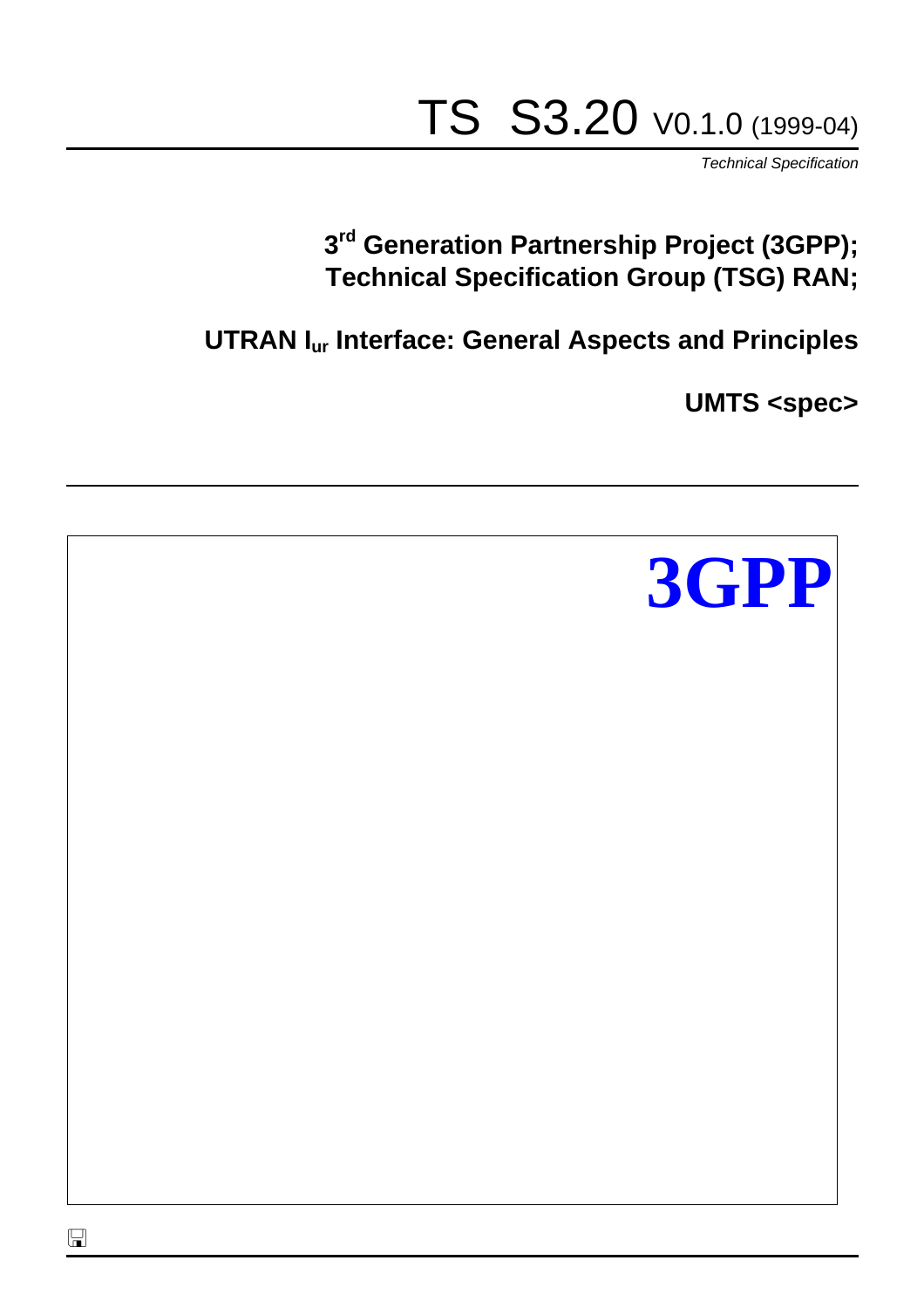# TS S3.20 V0.1.0 (1999-04)

*Technical Specification*

# **3 rd Generation Partnership Project (3GPP); Technical Specification Group (TSG) RAN;**

**UTRAN Iur Interface: General Aspects and Principles**

**UMTS <spec>**

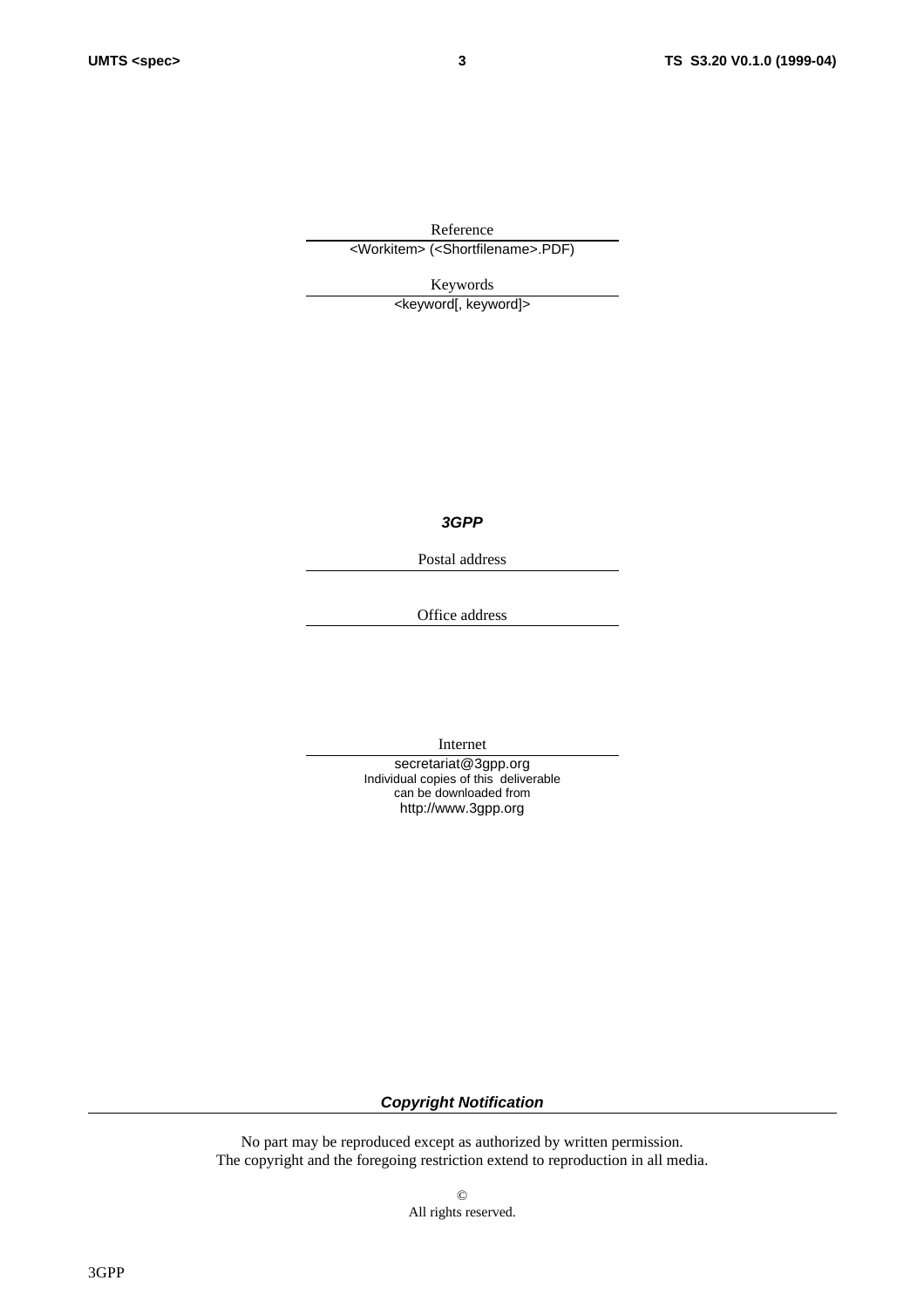Reference <Workitem> (<Shortfilename>.PDF)

Keywords

<keyword[, keyword]>

*3GPP*

Postal address

Office address

Internet

secretariat@3gpp.org Individual copies of this deliverable can be downloaded from http://www.3gpp.org

*Copyright Notification*

No part may be reproduced except as authorized by written permission. The copyright and the foregoing restriction extend to reproduction in all media.

> © All rights reserved.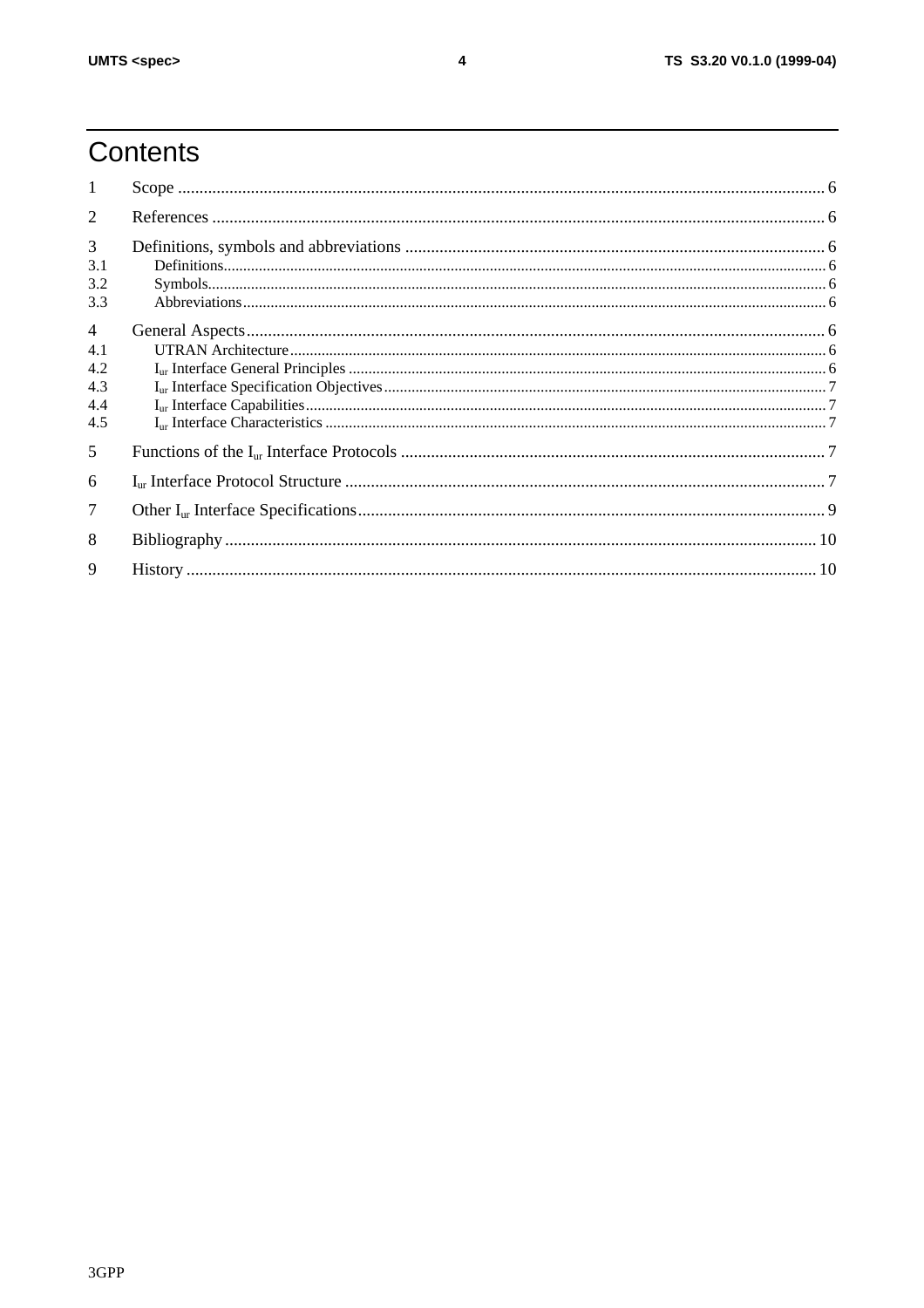# Contents

| 1                                                 |  |
|---------------------------------------------------|--|
| $\overline{2}$                                    |  |
| 3<br>3.1<br>3.2<br>3.3                            |  |
| $\overline{4}$<br>4.1<br>4.2<br>4.3<br>4.4<br>4.5 |  |
| 5                                                 |  |
| 6                                                 |  |
| 7                                                 |  |
| 8                                                 |  |
| $\mathbf Q$                                       |  |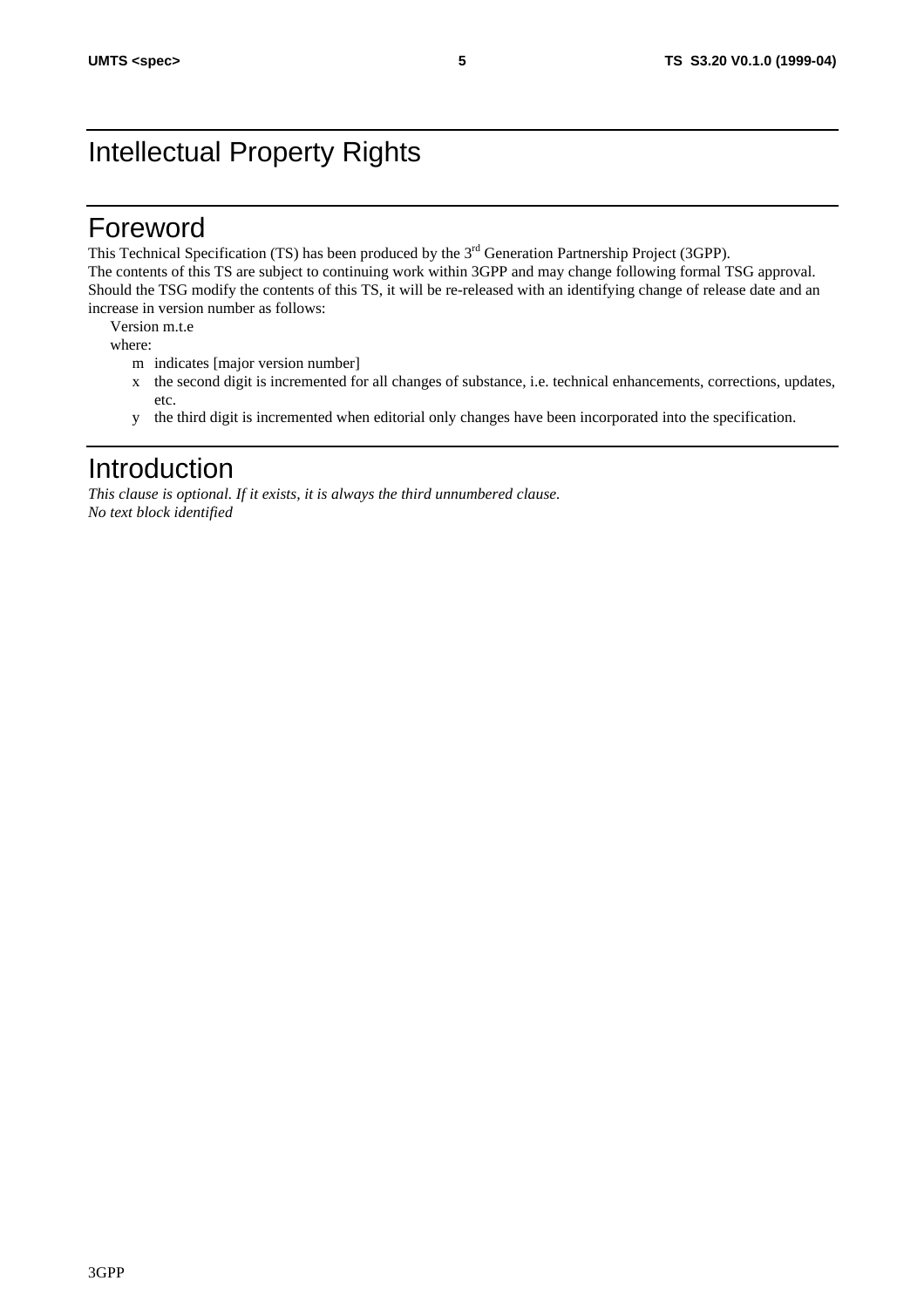# Intellectual Property Rights

#### Foreword

This Technical Specification (TS) has been produced by the 3<sup>rd</sup> Generation Partnership Project (3GPP). The contents of this TS are subject to continuing work within 3GPP and may change following formal TSG approval. Should the TSG modify the contents of this TS, it will be re-released with an identifying change of release date and an increase in version number as follows:

Version m.t.e

where:

- m indicates [major version number]
- x the second digit is incremented for all changes of substance, i.e. technical enhancements, corrections, updates, etc.
- y the third digit is incremented when editorial only changes have been incorporated into the specification.

#### Introduction

*This clause is optional. If it exists, it is always the third unnumbered clause. No text block identified*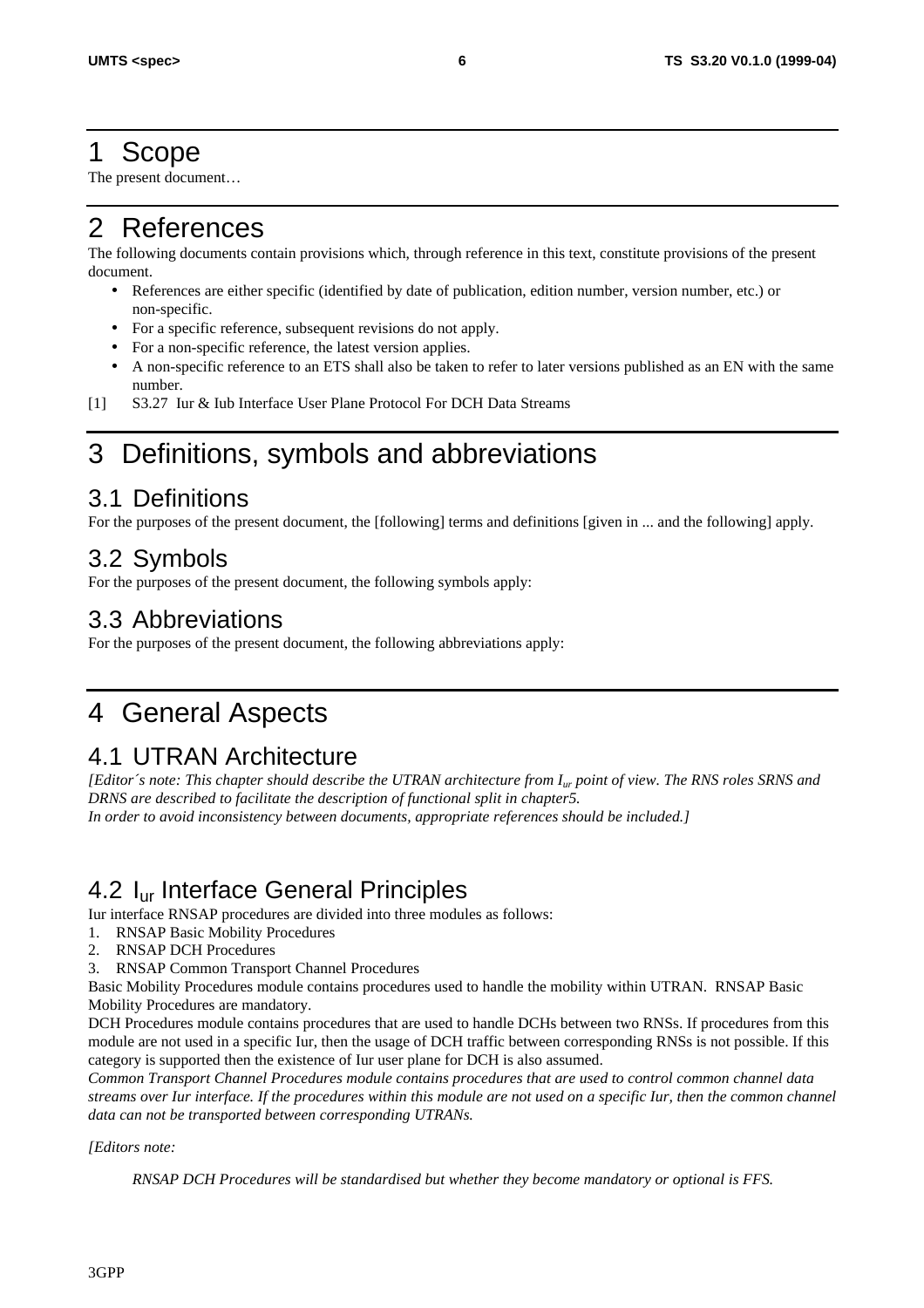#### 1 Scope

The present document…

# 2 References

The following documents contain provisions which, through reference in this text, constitute provisions of the present document.

- References are either specific (identified by date of publication, edition number, version number, etc.) or non-specific.
- For a specific reference, subsequent revisions do not apply.
- For a non-specific reference, the latest version applies.
- A non-specific reference to an ETS shall also be taken to refer to later versions published as an EN with the same number.
- [1] S3.27 Iur & Iub Interface User Plane Protocol For DCH Data Streams

# 3 Definitions, symbols and abbreviations

#### 3.1 Definitions

For the purposes of the present document, the [following] terms and definitions [given in ... and the following] apply.

#### 3.2 Symbols

For the purposes of the present document, the following symbols apply:

#### 3.3 Abbreviations

For the purposes of the present document, the following abbreviations apply:

# 4 General Aspects

#### 4.1 UTRAN Architecture

*[Editor´s note: This chapter should describe the UTRAN architecture from Iur point of view. The RNS roles SRNS and DRNS are described to facilitate the description of functional split in chapter5. In order to avoid inconsistency between documents, appropriate references should be included.]*

#### 4.2 Iur Interface General Principles

Iur interface RNSAP procedures are divided into three modules as follows:

- 1. RNSAP Basic Mobility Procedures
- 2. RNSAP DCH Procedures
- 3. RNSAP Common Transport Channel Procedures

Basic Mobility Procedures module contains procedures used to handle the mobility within UTRAN. RNSAP Basic Mobility Procedures are mandatory.

DCH Procedures module contains procedures that are used to handle DCHs between two RNSs. If procedures from this module are not used in a specific Iur, then the usage of DCH traffic between corresponding RNSs is not possible. If this category is supported then the existence of Iur user plane for DCH is also assumed.

*Common Transport Channel Procedures module contains procedures that are used to control common channel data streams over Iur interface. If the procedures within this module are not used on a specific Iur, then the common channel data can not be transported between corresponding UTRANs.*

*[Editors note:*

*RNSAP DCH Procedures will be standardised but whether they become mandatory or optional is FFS.*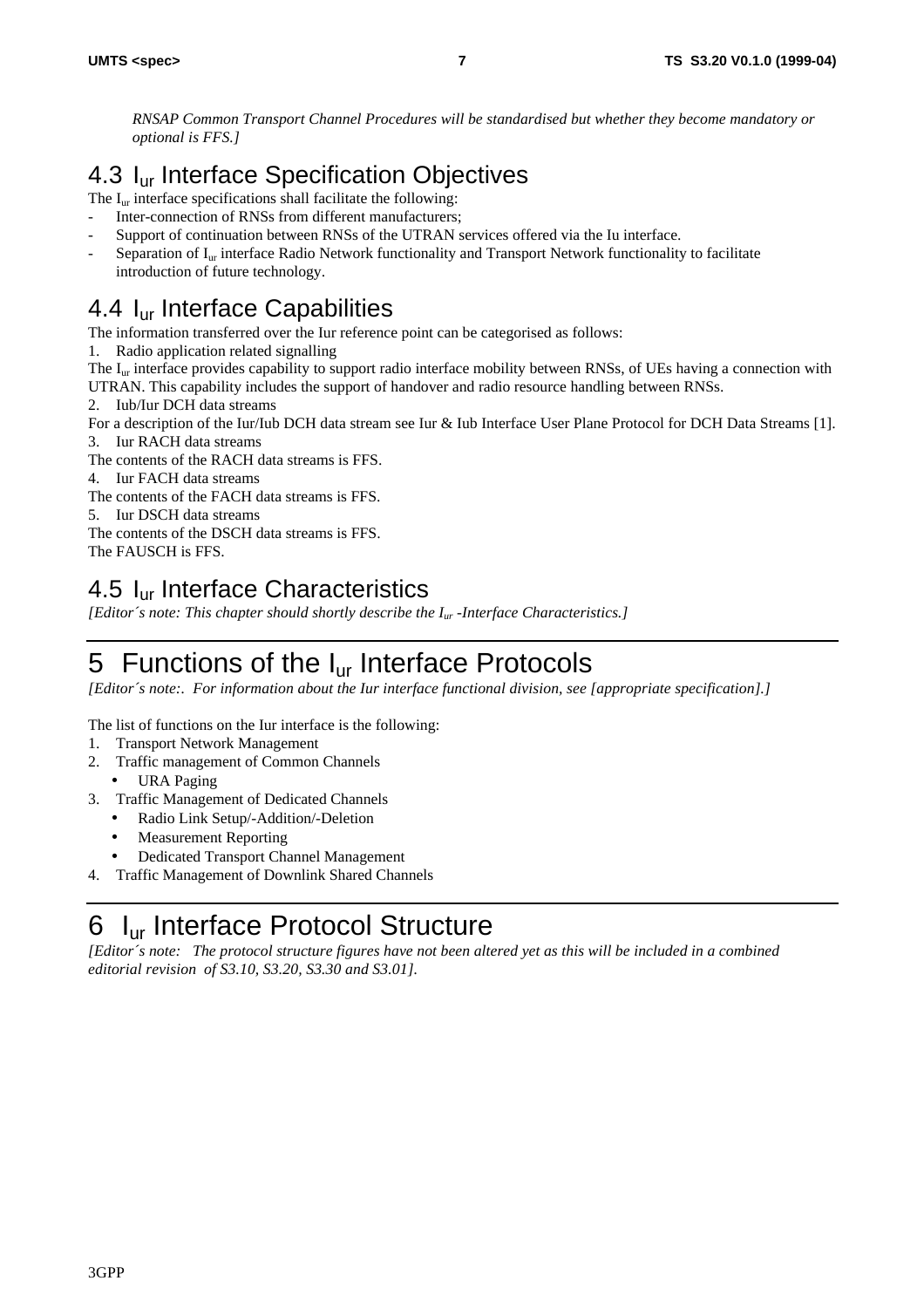*RNSAP Common Transport Channel Procedures will be standardised but whether they become mandatory or optional is FFS.]*

### 4.3 I<sub>ur</sub> Interface Specification Objectives

The  $I_{\text{ur}}$  interface specifications shall facilitate the following:

- Inter-connection of RNSs from different manufacturers;
- Support of continuation between RNSs of the UTRAN services offered via the Iu interface.
- Separation of  $I_{\text{ur}}$  interface Radio Network functionality and Transport Network functionality to facilitate introduction of future technology.

#### 4.4 I<sub>ur</sub> Interface Capabilities

The information transferred over the Iur reference point can be categorised as follows:

- 1. Radio application related signalling
- The  $I_{ur}$  interface provides capability to support radio interface mobility between RNSs, of UEs having a connection with

UTRAN. This capability includes the support of handover and radio resource handling between RNSs.

2. Iub/Iur DCH data streams

For a description of the Iur/Iub DCH data stream see Iur & Iub Interface User Plane Protocol for DCH Data Streams [1].

- 3. Iur RACH data streams
- The contents of the RACH data streams is FFS.
- 4. Iur FACH data streams
- The contents of the FACH data streams is FFS.

5. Iur DSCH data streams

The contents of the DSCH data streams is FFS.

The FAUSCH is FFS.

#### 4.5 Iur Interface Characteristics

*[Editor´s note: This chapter should shortly describe the Iur -Interface Characteristics.]*

# 5 Functions of the I<sub>ur</sub> Interface Protocols

*[Editor´s note:. For information about the Iur interface functional division, see [appropriate specification].]*

The list of functions on the Iur interface is the following:

- 1. Transport Network Management
- 2. Traffic management of Common Channels
- URA Paging
- 3. Traffic Management of Dedicated Channels
	- Radio Link Setup/-Addition/-Deletion
	- Measurement Reporting
	- Dedicated Transport Channel Management
- 4. Traffic Management of Downlink Shared Channels

# 6 Iur Interface Protocol Structure

*[Editor´s note: The protocol structure figures have not been altered yet as this will be included in a combined editorial revision of S3.10, S3.20, S3.30 and S3.01].*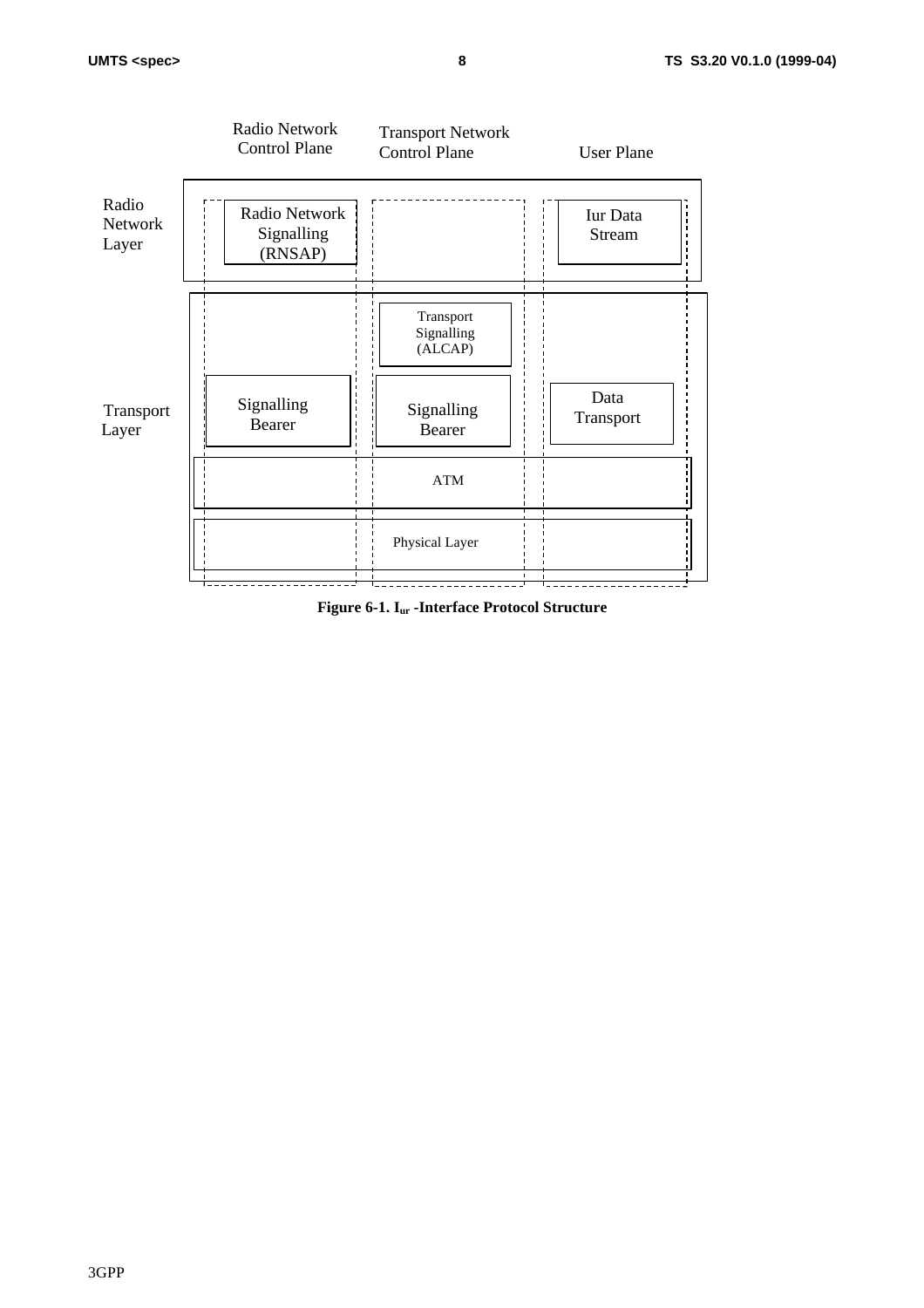

**Figure 6-1. Iur -Interface Protocol Structure**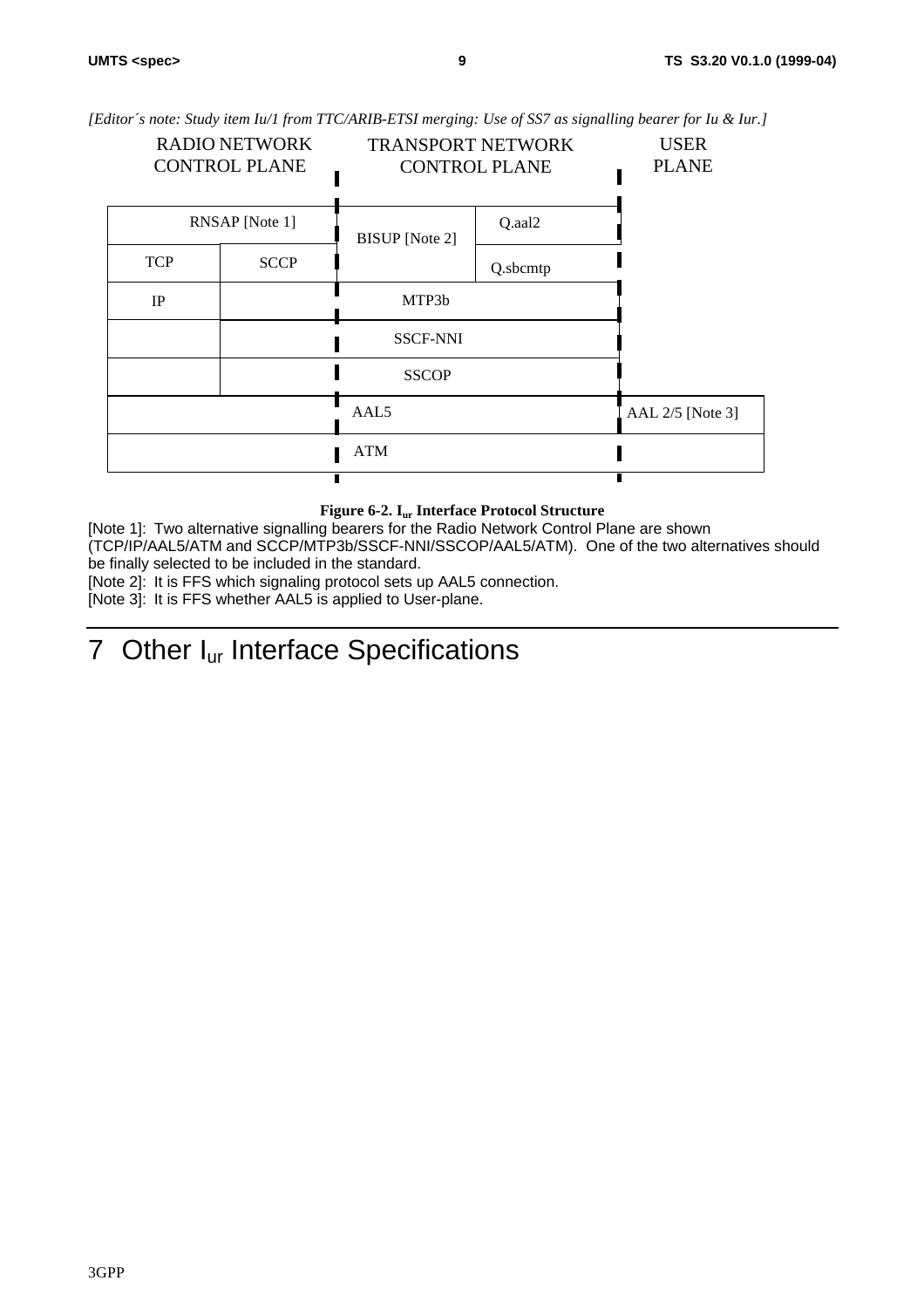*[Editor´s note: Study item Iu/1 from TTC/ARIB-ETSI merging: Use of SS7 as signalling bearer for Iu & Iur.]*

| <b>RADIO NETWORK</b><br><b>CONTROL PLANE</b> |             | <b>TRANSPORT NETWORK</b><br><b>CONTROL PLANE</b> |          | <b>USER</b><br><b>PLANE</b> |
|----------------------------------------------|-------------|--------------------------------------------------|----------|-----------------------------|
| RNSAP [Note 1]                               |             | <b>BISUP</b> [Note 2]                            | Q.aal2   |                             |
| <b>TCP</b>                                   | <b>SCCP</b> |                                                  | Q.sbcmtp |                             |
| IP                                           |             | MTP3b                                            |          |                             |
|                                              |             | <b>SSCF-NNI</b>                                  |          |                             |
|                                              |             | <b>SSCOP</b>                                     |          |                             |
|                                              |             | AAL <sub>5</sub>                                 |          | AAL 2/5 [Note 3]            |
|                                              |             | <b>ATM</b>                                       |          |                             |
|                                              |             |                                                  |          |                             |

#### **Figure 6-2. Iur Interface Protocol Structure**

[Note 1]: Two alternative signalling bearers for the Radio Network Control Plane are shown (TCP/IP/AAL5/ATM and SCCP/MTP3b/SSCF-NNI/SSCOP/AAL5/ATM). One of the two alternatives should be finally selected to be included in the standard.

[Note 2]: It is FFS which signaling protocol sets up AAL5 connection.

[Note 3]: It is FFS whether AAL5 is applied to User-plane.

# 7 Other I<sub>ur</sub> Interface Specifications